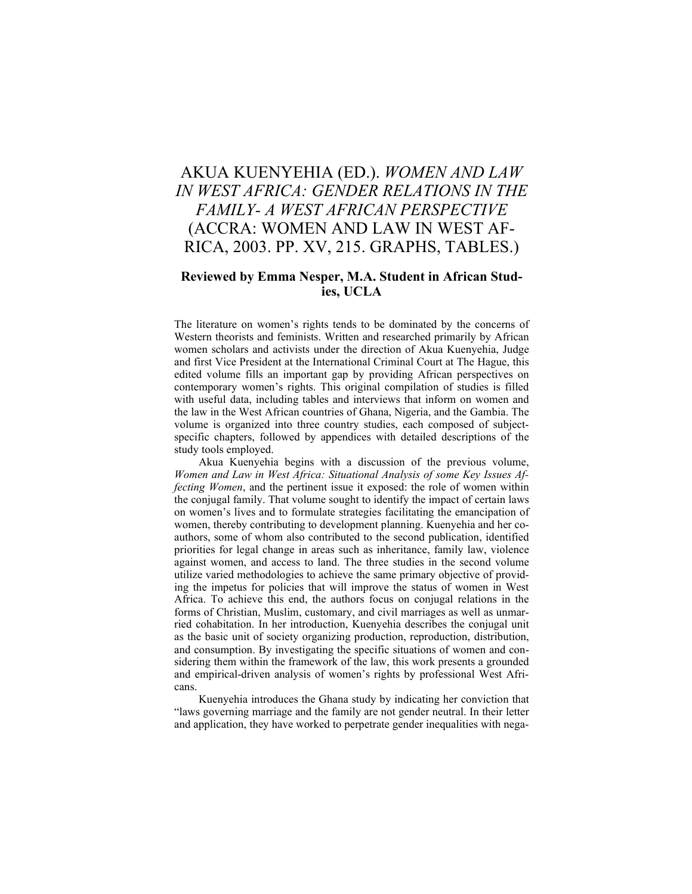## AKUA KUENYEHIA (ED.). *WOMEN AND LAW IN WEST AFRICA: GENDER RELATIONS IN THE FAMILY- A WEST AFRICAN PERSPECTIVE* (ACCRA: WOMEN AND LAW IN WEST AF-RICA, 2003. PP. XV, 215. GRAPHS, TABLES.)

## **Reviewed by Emma Nesper, M.A. Student in African Studies, UCLA**

The literature on women's rights tends to be dominated by the concerns of Western theorists and feminists. Written and researched primarily by African women scholars and activists under the direction of Akua Kuenyehia, Judge and first Vice President at the International Criminal Court at The Hague, this edited volume fills an important gap by providing African perspectives on contemporary women's rights. This original compilation of studies is filled with useful data, including tables and interviews that inform on women and the law in the West African countries of Ghana, Nigeria, and the Gambia. The volume is organized into three country studies, each composed of subjectspecific chapters, followed by appendices with detailed descriptions of the study tools employed.

Akua Kuenyehia begins with a discussion of the previous volume, *Women and Law in West Africa: Situational Analysis of some Key Issues Affecting Women*, and the pertinent issue it exposed: the role of women within the conjugal family. That volume sought to identify the impact of certain laws on women's lives and to formulate strategies facilitating the emancipation of women, thereby contributing to development planning. Kuenyehia and her coauthors, some of whom also contributed to the second publication, identified priorities for legal change in areas such as inheritance, family law, violence against women, and access to land. The three studies in the second volume utilize varied methodologies to achieve the same primary objective of providing the impetus for policies that will improve the status of women in West Africa. To achieve this end, the authors focus on conjugal relations in the forms of Christian, Muslim, customary, and civil marriages as well as unmarried cohabitation. In her introduction, Kuenyehia describes the conjugal unit as the basic unit of society organizing production, reproduction, distribution, and consumption. By investigating the specific situations of women and considering them within the framework of the law, this work presents a grounded and empirical-driven analysis of women's rights by professional West Africans.

Kuenyehia introduces the Ghana study by indicating her conviction that "laws governing marriage and the family are not gender neutral. In their letter and application, they have worked to perpetrate gender inequalities with nega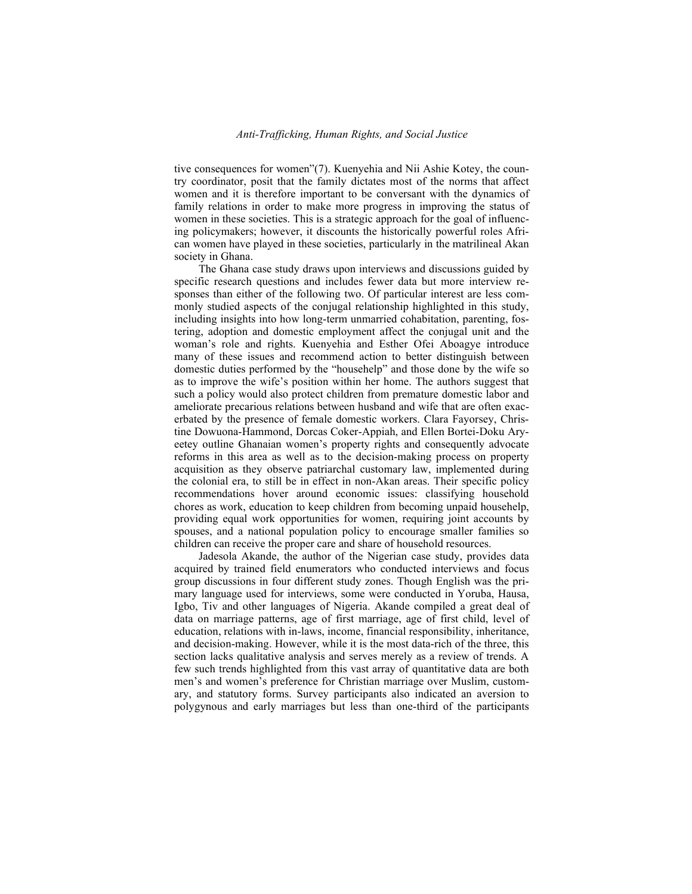tive consequences for women"(7). Kuenyehia and Nii Ashie Kotey, the country coordinator, posit that the family dictates most of the norms that affect women and it is therefore important to be conversant with the dynamics of family relations in order to make more progress in improving the status of women in these societies. This is a strategic approach for the goal of influencing policymakers; however, it discounts the historically powerful roles African women have played in these societies, particularly in the matrilineal Akan society in Ghana.

The Ghana case study draws upon interviews and discussions guided by specific research questions and includes fewer data but more interview responses than either of the following two. Of particular interest are less commonly studied aspects of the conjugal relationship highlighted in this study, including insights into how long-term unmarried cohabitation, parenting, fostering, adoption and domestic employment affect the conjugal unit and the woman's role and rights. Kuenyehia and Esther Ofei Aboagye introduce many of these issues and recommend action to better distinguish between domestic duties performed by the "househelp" and those done by the wife so as to improve the wife's position within her home. The authors suggest that such a policy would also protect children from premature domestic labor and ameliorate precarious relations between husband and wife that are often exacerbated by the presence of female domestic workers. Clara Fayorsey, Christine Dowuona-Hammond, Dorcas Coker-Appiah, and Ellen Bortei-Doku Aryeetey outline Ghanaian women's property rights and consequently advocate reforms in this area as well as to the decision-making process on property acquisition as they observe patriarchal customary law, implemented during the colonial era, to still be in effect in non-Akan areas. Their specific policy recommendations hover around economic issues: classifying household chores as work, education to keep children from becoming unpaid househelp, providing equal work opportunities for women, requiring joint accounts by spouses, and a national population policy to encourage smaller families so children can receive the proper care and share of household resources.

Jadesola Akande, the author of the Nigerian case study, provides data acquired by trained field enumerators who conducted interviews and focus group discussions in four different study zones. Though English was the primary language used for interviews, some were conducted in Yoruba, Hausa, Igbo, Tiv and other languages of Nigeria. Akande compiled a great deal of data on marriage patterns, age of first marriage, age of first child, level of education, relations with in-laws, income, financial responsibility, inheritance, and decision-making. However, while it is the most data-rich of the three, this section lacks qualitative analysis and serves merely as a review of trends. A few such trends highlighted from this vast array of quantitative data are both men's and women's preference for Christian marriage over Muslim, customary, and statutory forms. Survey participants also indicated an aversion to polygynous and early marriages but less than one-third of the participants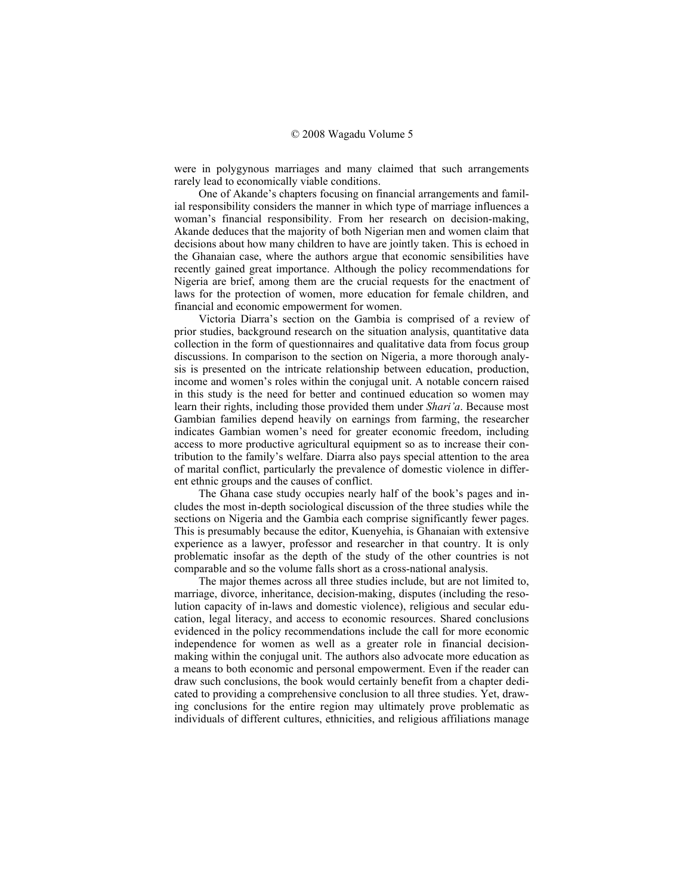were in polygynous marriages and many claimed that such arrangements rarely lead to economically viable conditions.

One of Akande's chapters focusing on financial arrangements and familial responsibility considers the manner in which type of marriage influences a woman's financial responsibility. From her research on decision-making, Akande deduces that the majority of both Nigerian men and women claim that decisions about how many children to have are jointly taken. This is echoed in the Ghanaian case, where the authors argue that economic sensibilities have recently gained great importance. Although the policy recommendations for Nigeria are brief, among them are the crucial requests for the enactment of laws for the protection of women, more education for female children, and financial and economic empowerment for women.

Victoria Diarra's section on the Gambia is comprised of a review of prior studies, background research on the situation analysis, quantitative data collection in the form of questionnaires and qualitative data from focus group discussions. In comparison to the section on Nigeria, a more thorough analysis is presented on the intricate relationship between education, production, income and women's roles within the conjugal unit. A notable concern raised in this study is the need for better and continued education so women may learn their rights, including those provided them under *Shari'a*. Because most Gambian families depend heavily on earnings from farming, the researcher indicates Gambian women's need for greater economic freedom, including access to more productive agricultural equipment so as to increase their contribution to the family's welfare. Diarra also pays special attention to the area of marital conflict, particularly the prevalence of domestic violence in different ethnic groups and the causes of conflict.

The Ghana case study occupies nearly half of the book's pages and includes the most in-depth sociological discussion of the three studies while the sections on Nigeria and the Gambia each comprise significantly fewer pages. This is presumably because the editor, Kuenyehia, is Ghanaian with extensive experience as a lawyer, professor and researcher in that country. It is only problematic insofar as the depth of the study of the other countries is not comparable and so the volume falls short as a cross-national analysis.

The major themes across all three studies include, but are not limited to, marriage, divorce, inheritance, decision-making, disputes (including the resolution capacity of in-laws and domestic violence), religious and secular education, legal literacy, and access to economic resources. Shared conclusions evidenced in the policy recommendations include the call for more economic independence for women as well as a greater role in financial decisionmaking within the conjugal unit. The authors also advocate more education as a means to both economic and personal empowerment. Even if the reader can draw such conclusions, the book would certainly benefit from a chapter dedicated to providing a comprehensive conclusion to all three studies. Yet, drawing conclusions for the entire region may ultimately prove problematic as individuals of different cultures, ethnicities, and religious affiliations manage